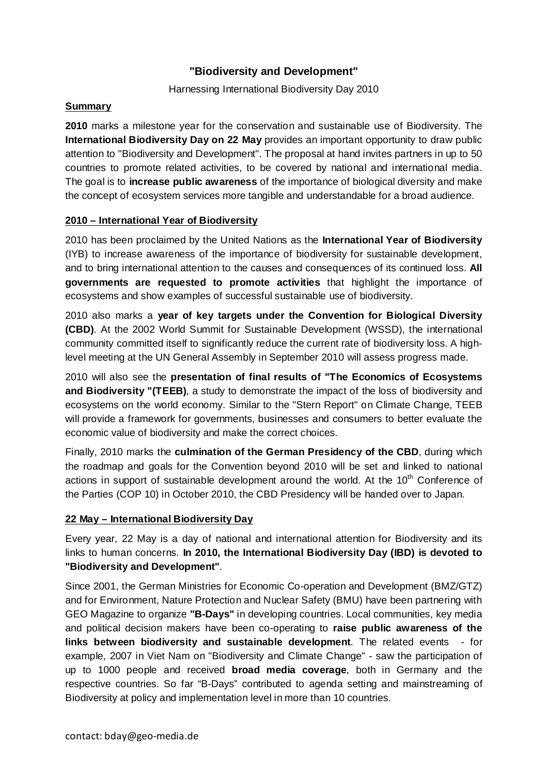# **"Biodiversity and Development"**

#### Harnessing International Biodiversity Day 2010

## **Summary**

**2010** marks a milestone year for the conservation and sustainable use of Biodiversity. The **International Biodiversity Day on 22 May** provides an important opportunity to draw public attention to "Biodiversity and Development". The proposal at hand invites partners in up to 50 countries to promote related activities, to be covered by national and international media. The goal is to **increase public awareness** of the importance of biological diversity and make the concept of ecosystem services more tangible and understandable for a broad audience.

## **2010 – International Year of Biodiversity**

2010 has been proclaimed by the United Nations as the **International Year of Biodiversity** (IYB) to increase awareness of the importance of biodiversity for sustainable development, and to bring international attention to the causes and consequences of its continued loss. **All governments are requested to promote activities** that highlight the importance of ecosystems and show examples of successful sustainable use of biodiversity.

2010 also marks a **year of key targets under the Convention for Biological Diversity (CBD)**. At the 2002 World Summit for Sustainable Development (WSSD), the international community committed itself to significantly reduce the current rate of biodiversity loss. A highlevel meeting at the UN General Assembly in September 2010 will assess progress made.

2010 will also see the **presentation of final results of "The Economics of Ecosystems and Biodiversity "(TEEB)**, a study to demonstrate the impact of the loss of biodiversity and ecosystems on the world economy. Similar to the "Stern Report" on Climate Change, TEEB will provide a framework for governments, businesses and consumers to better evaluate the economic value of biodiversity and make the correct choices.

Finally, 2010 marks the **culmination of the German Presidency of the CBD**, during which the roadmap and goals for the Convention beyond 2010 will be set and linked to national actions in support of sustainable development around the world. At the 10<sup>th</sup> Conference of the Parties (COP 10) in October 2010, the CBD Presidency will be handed over to Japan.

## **22 May – International Biodiversity Day**

Every year, 22 May is a day of national and international attention for Biodiversity and its links to human concerns. **In 2010, the International Biodiversity Day (IBD) is devoted to "Biodiversity and Development"**.

Since 2001, the German Ministries for Economic Co-operation and Development (BMZ/GTZ) and for Environment, Nature Protection and Nuclear Safety (BMU) have been partnering with GEO Magazine to organize **"B-Days"** in developing countries. Local communities, key media and political decision makers have been co-operating to **raise public awareness of the links between biodiversity and sustainable development**. The related events - for example, 2007 in Viet Nam on "Biodiversity and Climate Change" - saw the participation of up to 1000 people and received **broad media coverage**, both in Germany and the respective countries. So far "B-Days" contributed to agenda setting and mainstreaming of Biodiversity at policy and implementation level in more than 10 countries.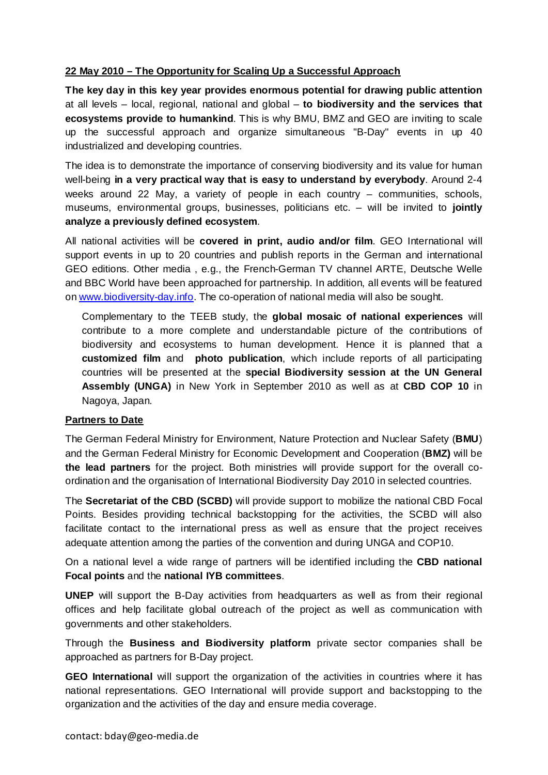#### **22 May 2010 – The Opportunity for Scaling Up a Successful Approach**

**The key day in this key year provides enormous potential for drawing public attention**  at all levels – local, regional, national and global – **to biodiversity and the services that ecosystems provide to humankind**. This is why BMU, BMZ and GEO are inviting to scale up the successful approach and organize simultaneous "B-Day" events in up 40 industrialized and developing countries.

The idea is to demonstrate the importance of conserving biodiversity and its value for human well-being **in a very practical way that is easy to understand by everybody**. Around 2-4 weeks around 22 May, a variety of people in each country – communities, schools, museums, environmental groups, businesses, politicians etc. – will be invited to **jointly analyze a previously defined ecosystem**.

All national activities will be **covered in print, audio and/or film**. GEO International will support events in up to 20 countries and publish reports in the German and international GEO editions. Other media , e.g., the French-German TV channel ARTE, Deutsche Welle and BBC World have been approached for partnership. In addition, all events will be featured on www.biodiversity-day.info. The co-operation of national media will also be sought.

Complementary to the TEEB study, the **global mosaic of national experiences** will contribute to a more complete and understandable picture of the contributions of biodiversity and ecosystems to human development. Hence it is planned that a **customized film** and **photo publication**, which include reports of all participating countries will be presented at the **special Biodiversity session at the UN General Assembly (UNGA)** in New York in September 2010 as well as at **CBD COP 10** in Nagoya, Japan.

#### **Partners to Date**

The German Federal Ministry for Environment, Nature Protection and Nuclear Safety (**BMU**) and the German Federal Ministry for Economic Development and Cooperation (**BMZ)** will be **the lead partners** for the project. Both ministries will provide support for the overall coordination and the organisation of International Biodiversity Day 2010 in selected countries.

The **Secretariat of the CBD (SCBD)** will provide support to mobilize the national CBD Focal Points. Besides providing technical backstopping for the activities, the SCBD will also facilitate contact to the international press as well as ensure that the project receives adequate attention among the parties of the convention and during UNGA and COP10.

On a national level a wide range of partners will be identified including the **CBD national Focal points** and the **national IYB committees**.

**UNEP** will support the B-Day activities from headquarters as well as from their regional offices and help facilitate global outreach of the project as well as communication with governments and other stakeholders.

Through the **Business and Biodiversity platform** private sector companies shall be approached as partners for B-Day project.

**GEO International** will support the organization of the activities in countries where it has national representations. GEO International will provide support and backstopping to the organization and the activities of the day and ensure media coverage.